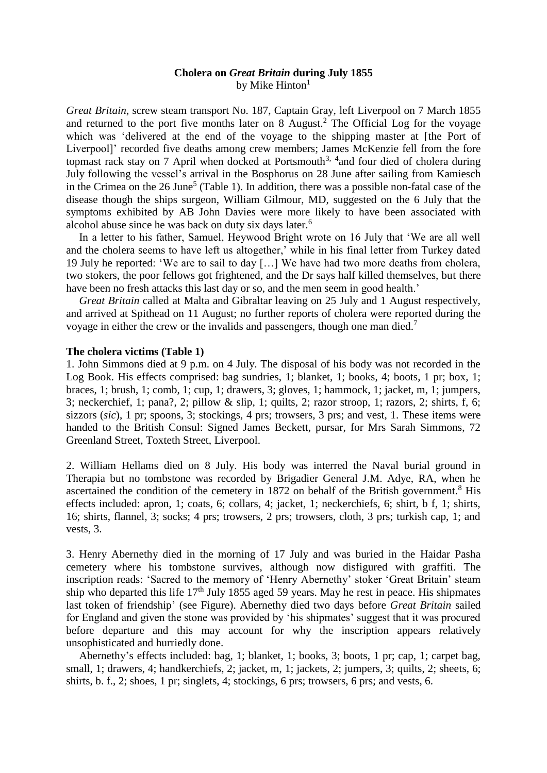# **Cholera on** *Great Britain* **during July 1855** by Mike  $Hinton<sup>1</sup>$

*Great Britain*, screw steam transport No. 187, Captain Gray, left Liverpool on 7 March 1855 and returned to the port five months later on 8 August. <sup>2</sup> The Official Log for the voyage which was 'delivered at the end of the voyage to the shipping master at [the Port of Liverpool]' recorded five deaths among crew members; James McKenzie fell from the fore topmast rack stay on 7 April when docked at Portsmouth<sup>3, 4</sup> and four died of cholera during July following the vessel's arrival in the Bosphorus on 28 June after sailing from Kamiesch in the Crimea on the  $26$  June<sup>5</sup> (Table 1). In addition, there was a possible non-fatal case of the disease though the ships surgeon, William Gilmour, MD, suggested on the 6 July that the symptoms exhibited by AB John Davies were more likely to have been associated with alcohol abuse since he was back on duty six days later.<sup>6</sup>

In a letter to his father, Samuel, Heywood Bright wrote on 16 July that 'We are all well and the cholera seems to have left us altogether,' while in his final letter from Turkey dated 19 July he reported: 'We are to sail to day […] We have had two more deaths from cholera, two stokers, the poor fellows got frightened, and the Dr says half killed themselves, but there have been no fresh attacks this last day or so, and the men seem in good health.'

*Great Britain* called at Malta and Gibraltar leaving on 25 July and 1 August respectively, and arrived at Spithead on 11 August; no further reports of cholera were reported during the voyage in either the crew or the invalids and passengers, though one man died.<sup>7</sup>

#### **The cholera victims (Table 1)**

1. John Simmons died at 9 p.m. on 4 July. The disposal of his body was not recorded in the Log Book. His effects comprised: bag sundries, 1; blanket, 1; books, 4; boots, 1 pr; box, 1; braces, 1; brush, 1; comb, 1; cup, 1; drawers, 3; gloves, 1; hammock, 1; jacket, m, 1; jumpers, 3; neckerchief, 1; pana?, 2; pillow & slip, 1; quilts, 2; razor stroop, 1; razors, 2; shirts, f, 6; sizzors (*sic*), 1 pr; spoons, 3; stockings, 4 prs; trowsers, 3 prs; and vest, 1. These items were handed to the British Consul: Signed James Beckett, pursar, for Mrs Sarah Simmons, 72 Greenland Street, Toxteth Street, Liverpool.

2. William Hellams died on 8 July. His body was interred the Naval burial ground in Therapia but no tombstone was recorded by Brigadier General J.M. Adye, RA, when he ascertained the condition of the cemetery in 1872 on behalf of the British government.<sup>8</sup> His effects included: apron, 1; coats, 6; collars, 4; jacket, 1; neckerchiefs, 6; shirt, b f, 1; shirts, 16; shirts, flannel, 3; socks; 4 prs; trowsers, 2 prs; trowsers, cloth, 3 prs; turkish cap, 1; and vests, 3.

3. Henry Abernethy died in the morning of 17 July and was buried in the Haidar Pasha cemetery where his tombstone survives, although now disfigured with graffiti. The inscription reads: 'Sacred to the memory of 'Henry Abernethy' stoker 'Great Britain' steam ship who departed this life  $17<sup>th</sup>$  July 1855 aged 59 years. May he rest in peace. His shipmates last token of friendship' (see Figure). Abernethy died two days before *Great Britain* sailed for England and given the stone was provided by 'his shipmates' suggest that it was procured before departure and this may account for why the inscription appears relatively unsophisticated and hurriedly done.

Abernethy's effects included: bag, 1; blanket, 1; books, 3; boots, 1 pr; cap, 1; carpet bag, small, 1; drawers, 4; handkerchiefs, 2; jacket, m, 1; jackets, 2; jumpers, 3; quilts, 2; sheets, 6; shirts, b. f., 2; shoes, 1 pr; singlets, 4; stockings, 6 prs; trowsers, 6 prs; and vests, 6.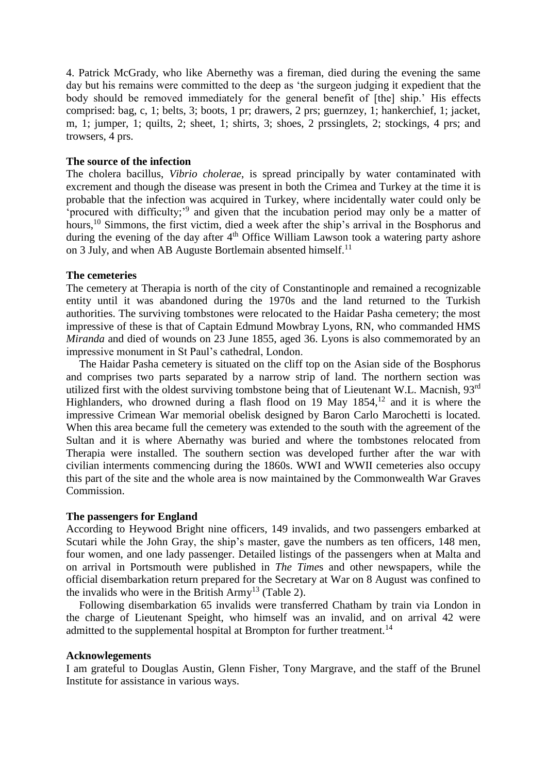4. Patrick McGrady, who like Abernethy was a fireman, died during the evening the same day but his remains were committed to the deep as 'the surgeon judging it expedient that the body should be removed immediately for the general benefit of [the] ship.' His effects comprised: bag, c, 1; belts, 3; boots, 1 pr; drawers, 2 prs; guernzey, 1; hankerchief, 1; jacket, m, 1; jumper, 1; quilts, 2; sheet, 1; shirts, 3; shoes, 2 prssinglets, 2; stockings, 4 prs; and trowsers, 4 prs.

### **The source of the infection**

The cholera bacillus, *Vibrio cholerae*, is spread principally by water contaminated with excrement and though the disease was present in both the Crimea and Turkey at the time it is probable that the infection was acquired in Turkey, where incidentally water could only be 'procured with difficulty;<sup>'9</sup> and given that the incubation period may only be a matter of hours,<sup>10</sup> Simmons, the first victim, died a week after the ship's arrival in the Bosphorus and during the evening of the day after  $4<sup>th</sup>$  Office William Lawson took a watering party ashore on 3 July, and when AB Auguste Bortlemain absented himself.<sup>11</sup>

### **The cemeteries**

The cemetery at Therapia is north of the city of Constantinople and remained a recognizable entity until it was abandoned during the 1970s and the land returned to the Turkish authorities. The surviving tombstones were relocated to the Haidar Pasha cemetery; the most impressive of these is that of Captain Edmund Mowbray Lyons, RN, who commanded HMS *Miranda* and died of wounds on 23 June 1855, aged 36. Lyons is also commemorated by an impressive monument in St Paul's cathedral, London.

The Haidar Pasha cemetery is situated on the cliff top on the Asian side of the Bosphorus and comprises two parts separated by a narrow strip of land. The northern section was utilized first with the oldest surviving tombstone being that of Lieutenant W.L. Macnish, 93<sup>rd</sup> Highlanders, who drowned during a flash flood on 19 May 1854,<sup>12</sup> and it is where the impressive Crimean War memorial obelisk designed by Baron Carlo Marochetti is located. When this area became full the cemetery was extended to the south with the agreement of the Sultan and it is where Abernathy was buried and where the tombstones relocated from Therapia were installed. The southern section was developed further after the war with civilian interments commencing during the 1860s. WWI and WWII cemeteries also occupy this part of the site and the whole area is now maintained by the Commonwealth War Graves Commission.

#### **The passengers for England**

According to Heywood Bright nine officers, 149 invalids, and two passengers embarked at Scutari while the John Gray, the ship's master, gave the numbers as ten officers, 148 men, four women, and one lady passenger. Detailed listings of the passengers when at Malta and on arrival in Portsmouth were published in *The Time*s and other newspapers, while the official disembarkation return prepared for the Secretary at War on 8 August was confined to the invalids who were in the British Army<sup>13</sup> (Table 2).

Following disembarkation 65 invalids were transferred Chatham by train via London in the charge of Lieutenant Speight, who himself was an invalid, and on arrival 42 were admitted to the supplemental hospital at Brompton for further treatment.<sup>14</sup>

#### **Acknowlegements**

I am grateful to Douglas Austin, Glenn Fisher, Tony Margrave, and the staff of the Brunel Institute for assistance in various ways.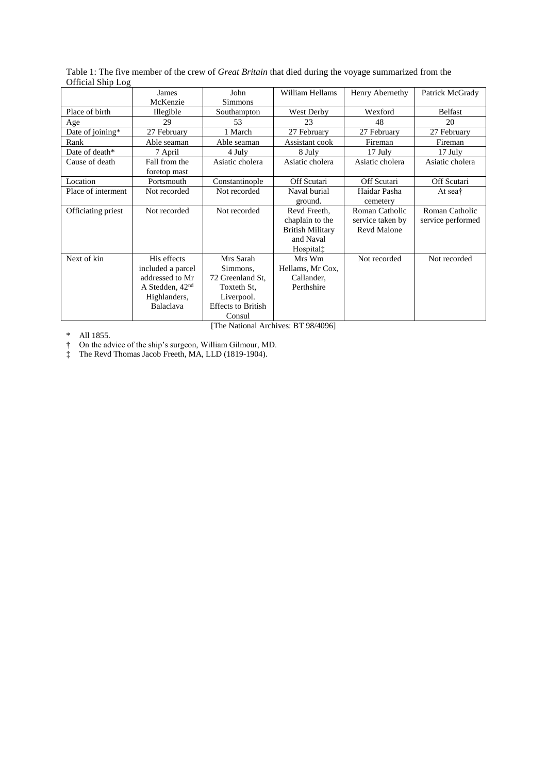| $\cup$ merar $\cup$ mp Log |                                                                                                       |                                                                                                               |                                                                                                  |                                                          |                                     |  |  |  |
|----------------------------|-------------------------------------------------------------------------------------------------------|---------------------------------------------------------------------------------------------------------------|--------------------------------------------------------------------------------------------------|----------------------------------------------------------|-------------------------------------|--|--|--|
|                            | James                                                                                                 | John                                                                                                          | William Hellams                                                                                  | Henry Abernethy                                          | Patrick McGrady                     |  |  |  |
|                            | McKenzie                                                                                              | Simmons                                                                                                       |                                                                                                  |                                                          |                                     |  |  |  |
| Place of birth             | Illegible                                                                                             | Southampton                                                                                                   | West Derby                                                                                       | Wexford                                                  | <b>Belfast</b>                      |  |  |  |
| Age                        | 29                                                                                                    | 53                                                                                                            | 23                                                                                               | 48                                                       | 20                                  |  |  |  |
| Date of joining*           | 27 February                                                                                           | 1 March                                                                                                       | 27 February                                                                                      | 27 February                                              | 27 February                         |  |  |  |
| Rank                       | Able seaman                                                                                           | Able seaman                                                                                                   | Assistant cook                                                                                   | Fireman                                                  | Fireman                             |  |  |  |
| Date of death*             | 7 April                                                                                               | 4 July                                                                                                        | 8 July                                                                                           | 17 July                                                  | 17 July                             |  |  |  |
| Cause of death             | Fall from the<br>foretop mast                                                                         | Asiatic cholera                                                                                               | Asiatic cholera                                                                                  | Asiatic cholera                                          | Asiatic cholera                     |  |  |  |
| Location                   | Portsmouth                                                                                            | Constantinople                                                                                                | Off Scutari                                                                                      | Off Scutari                                              | Off Scutari                         |  |  |  |
| Place of interment         | Not recorded                                                                                          | Not recorded                                                                                                  | Naval burial<br>ground.                                                                          | Haidar Pasha<br>cemetery                                 | At sea <sup>†</sup>                 |  |  |  |
| Officiating priest         | Not recorded                                                                                          | Not recorded                                                                                                  | Revd Freeth.<br>chaplain to the<br><b>British Military</b><br>and Naval<br>Hospital <sup>†</sup> | Roman Catholic<br>service taken by<br><b>Revd Malone</b> | Roman Catholic<br>service performed |  |  |  |
| Next of kin                | His effects<br>included a parcel<br>addressed to Mr<br>A Stedden, $42nd$<br>Highlanders,<br>Balaclava | Mrs Sarah<br>Simmons,<br>72 Greenland St,<br>Toxteth St.<br>Liverpool.<br><b>Effects to British</b><br>Consul | Mrs Wm<br>Hellams, Mr Cox,<br>Callander,<br>Perthshire                                           | Not recorded                                             | Not recorded                        |  |  |  |

Table 1: The five member of the crew of *Great Britain* that died during the voyage summarized from the Official Ship Log

[The National Archives: BT 98/4096]

\* All 1855.

† On the advice of the ship's surgeon, William Gilmour, MD.

‡ The Revd Thomas Jacob Freeth, MA, LLD (1819-1904).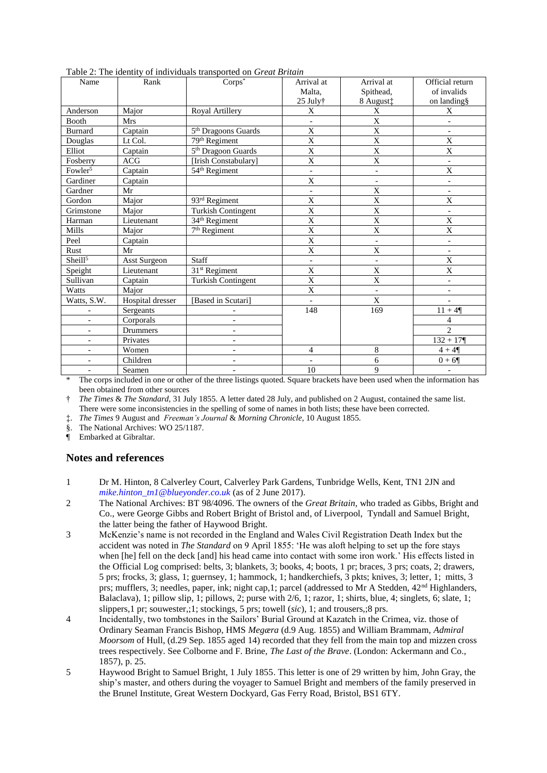| Name                             | Rank                | radio 2. The Reditty of their reduces transported on Oreal <i>Drught</i><br>$Corps^*$ | Arrival at               | Arrival at               | Official return          |
|----------------------------------|---------------------|---------------------------------------------------------------------------------------|--------------------------|--------------------------|--------------------------|
|                                  |                     |                                                                                       | Malta.                   | Spithead,                | of invalids              |
|                                  |                     |                                                                                       | 25 July†                 | 8 August‡                | on landing§              |
| Anderson                         | Major               | Royal Artillery                                                                       | X                        | X                        | X                        |
| Booth                            | Mrs                 |                                                                                       |                          | $\overline{\mathrm{X}}$  | $\equiv$                 |
| <b>Burnard</b>                   | Captain             | 5 <sup>th</sup> Dragoons Guards                                                       | X                        | $\mathbf X$              | $\overline{\phantom{a}}$ |
| Douglas                          | Lt Col.             | 79th Regiment                                                                         | X                        | X                        | X                        |
| Elliot                           | Captain             | 5 <sup>th</sup> Dragoon Guards                                                        | $\overline{X}$           | $\overline{X}$           | $\mathbf X$              |
| Fosberry                         | ACG                 | [Irish Constabulary]                                                                  | X                        | X                        | $\blacksquare$           |
| Fowler <sup><math>5</math></sup> | Captain             | 54 <sup>th</sup> Regiment                                                             | -                        | $\qquad \qquad -$        | $\mathbf X$              |
| Gardiner                         | Captain             |                                                                                       | X                        | $\qquad \qquad -$        | $\overline{\phantom{a}}$ |
| Gardner                          | Mr                  |                                                                                       | $\overline{\phantom{0}}$ | X                        | $\overline{\phantom{a}}$ |
| Gordon                           | Major               | 93rd Regiment                                                                         | $\mathbf X$              | $\mathbf X$              | X                        |
| Grimstone                        | Major               | <b>Turkish Contingent</b>                                                             | X                        | $\mathbf X$              | $\overline{\phantom{a}}$ |
| Harman                           | Lieutenant          | 34 <sup>th</sup> Regiment                                                             | $\overline{X}$           | $\mathbf X$              | $\mathbf X$              |
| Mills                            | Major               | 7 <sup>th</sup> Regiment                                                              | $\overline{\mathrm{X}}$  | $\overline{\mathrm{X}}$  | $\mathbf X$              |
| Peel                             | Captain             |                                                                                       | $\mathbf X$              | $\overline{a}$           | $\blacksquare$           |
| Rust                             | Mr                  |                                                                                       | $\mathbf X$              | X                        | $\overline{\phantom{a}}$ |
| Sheill <sup>5</sup>              | <b>Asst Surgeon</b> | Staff                                                                                 | $\overline{\phantom{0}}$ | $\overline{\phantom{a}}$ | X                        |
| Speight                          | Lieutenant          | 31 <sup>st</sup> Regiment                                                             | X                        | X                        | $\mathbf X$              |
| Sullivan                         | Captain             | <b>Turkish Contingent</b>                                                             | X                        | $\mathbf X$              | $\overline{\phantom{a}}$ |
| Watts                            | Major               |                                                                                       | $\overline{X}$           | $\overline{\phantom{m}}$ | $\blacksquare$           |
| Watts, S.W.                      | Hospital dresser    | [Based in Scutari]                                                                    | $\overline{\phantom{0}}$ | $\mathbf X$              | $\overline{\phantom{a}}$ |
|                                  | Sergeants           |                                                                                       | 148                      | 169                      | $11 + 4$                 |
| $\overline{\phantom{0}}$         | Corporals           | $\qquad \qquad \blacksquare$                                                          |                          |                          | $\overline{4}$           |
| -                                | Drummers            | $\overline{a}$                                                                        |                          |                          | $\mathfrak{D}$           |
| $\overline{\phantom{0}}$         | Privates            | $\qquad \qquad \blacksquare$                                                          |                          |                          | $132 + 17$               |
| $\qquad \qquad -$                | Women               | $\qquad \qquad -$                                                                     | 4                        | 8                        | $4 + 4\P$                |
| $\overline{\phantom{0}}$         | Children            | $\overline{a}$                                                                        | $\overline{\phantom{0}}$ | 6                        | $0 + 6$                  |
| $\overline{\phantom{0}}$         | Seamen              | $\qquad \qquad \blacksquare$                                                          | 10                       | 9                        | $\overline{\phantom{a}}$ |

Table 2: The identity of individuals transported on *Great Britain*

The corps included in one or other of the three listings quoted. Square brackets have been used when the information has been obtained from other sources

† *The Times* & *The Standard*, 31 July 1855. A letter dated 28 July, and published on 2 August, contained the same list. There were some inconsistencies in the spelling of some of names in both lists; these have been corrected.

‡. *The Times* 9 August and *Freeman's Journal* & *Morning Chronicle*, 10 August 1855.

§. The National Archives: WO 25/1187.

¶ Embarked at Gibraltar.

## **Notes and references**

- 1 Dr M. Hinton, 8 Calverley Court, Calverley Park Gardens, Tunbridge Wells, Kent, TN1 2JN and *[mike.hinton\\_tn1@blueyonder.co.uk](mailto:mike.hinton_tn1@blueyonder.co.uk)* (as of 2 June 2017).
- 2 The National Archives: BT 98/4096. The owners of the *Great Britain*, who traded as Gibbs, Bright and Co., were George Gibbs and Robert Bright of Bristol and, of Liverpool, Tyndall and Samuel Bright, the latter being the father of Haywood Bright.
- 3 McKenzie's name is not recorded in the England and Wales Civil Registration Death Index but the accident was noted in *The Standard* on 9 April 1855: 'He was aloft helping to set up the fore stays when [he] fell on the deck [and] his head came into contact with some iron work.' His effects listed in the Official Log comprised: belts, 3; blankets, 3; books, 4; boots, 1 pr; braces, 3 prs; coats, 2; drawers, 5 prs; frocks, 3; glass, 1; guernsey, 1; hammock, 1; handkerchiefs, 3 pkts; knives, 3; letter, 1; mitts, 3 prs; mufflers, 3; needles, paper, ink; night cap, 1; parcel (addressed to Mr A Stedden, 42<sup>nd</sup> Highlanders, Balaclava), 1; pillow slip, 1; pillows, 2; purse with 2/6, 1; razor, 1; shirts, blue, 4; singlets, 6; slate, 1; slippers,1 pr; souwester,;1; stockings, 5 prs; towell (*sic*), 1; and trousers,;8 prs.
- 4 Incidentally, two tombstones in the Sailors' Burial Ground at Kazatch in the Crimea, viz. those of Ordinary Seaman Francis Bishop, HMS *Megæra* (d.9 Aug. 1855) and William Brammam, *Admiral Moorsom* of Hull, (d.29 Sep. 1855 aged 14) recorded that they fell from the main top and mizzen cross trees respectively. See Colborne and F. Brine, *The Last of the Brave*. (London: Ackermann and Co., 1857), p. 25.
- 5 Haywood Bright to Samuel Bright, 1 July 1855. This letter is one of 29 written by him, John Gray, the ship's master, and others during the voyager to Samuel Bright and members of the family preserved in the Brunel Institute, Great Western Dockyard, Gas Ferry Road, Bristol, BS1 6TY.